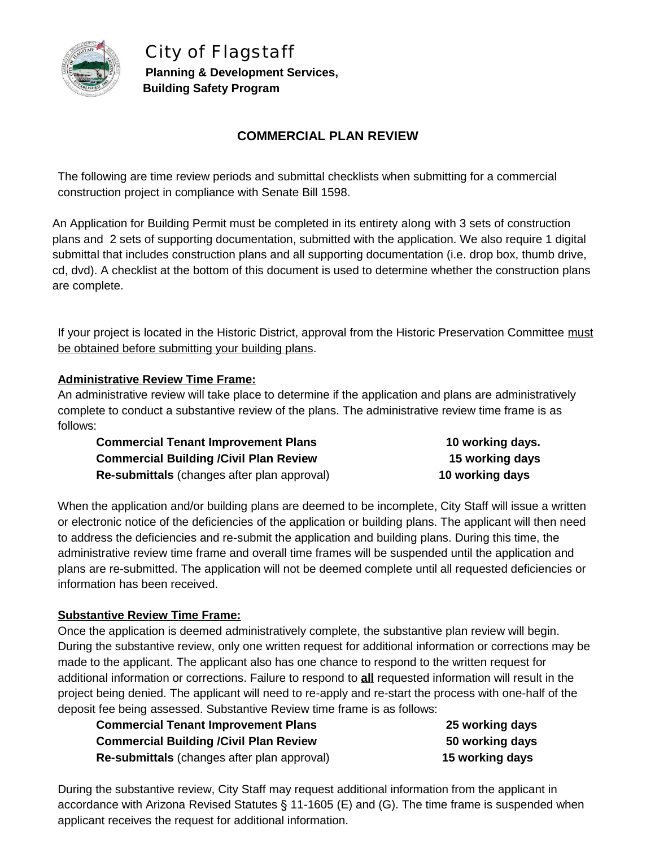

*City of Flagstaff* **Planning & Development Services, Building Safety Program**

# **COMMERCIAL PLAN REVIEW**

The following are time review periods and submittal checklists when submitting for a commercial construction project in compliance with Senate Bill 1598.

An Application for Building Permit must be completed in its entirety along with 3 sets of construction plans and 2 sets of supporting documentation, submitted with the application. We also require 1 digital submittal that includes construction plans and all supporting documentation (i.e. drop box, thumb drive, cd, dvd). A checklist at the bottom of this document is used to determine whether the construction plans are complete.

If your project is located in the Historic District, approval from the Historic Preservation Committee must be obtained before submitting your building plans.

### **Administrative Review Time Frame:**

An administrative review will take place to determine if the application and plans are administratively complete to conduct a substantive review of the plans. The administrative review time frame is as follows:

| <b>Commercial Tenant Improvement Plans</b>    | 10 working days. |
|-----------------------------------------------|------------------|
| <b>Commercial Building /Civil Plan Review</b> | 15 working days  |
| Re-submittals (changes after plan approval)   | 10 working days  |

When the application and/or building plans are deemed to be incomplete, City Staff will issue a written or electronic notice of the deficiencies of the application or building plans. The applicant will then need to address the deficiencies and re-submit the application and building plans. During this time, the administrative review time frame and overall time frames will be suspended until the application and plans are re-submitted. The application will not be deemed complete until all requested deficiencies or information has been received.

### **Substantive Review Time Frame:**

Once the application is deemed administratively complete, the substantive plan review will begin. During the substantive review, only one written request for additional information or corrections may be made to the applicant. The applicant also has one chance to respond to the written request for additional information or corrections. Failure to respond to **all** requested information will result in the project being denied. The applicant will need to re-apply and re-start the process with one-half of the deposit fee being assessed. Substantive Review time frame is as follows:

| Commercial Tenant Improvement Plans           |  |
|-----------------------------------------------|--|
| <b>Commercial Building /Civil Plan Review</b> |  |
| Re-submittals (changes after plan approval)   |  |

**Commercial Tenant Improvement Plans 25 working days Commercial Building /Civil Plan Review 50 working days Re-submittals** (changes after plan approval) **15 working days**

During the substantive review, City Staff may request additional information from the applicant in accordance with Arizona Revised Statutes § 11-1605 (E) and (G). The time frame is suspended when applicant receives the request for additional information.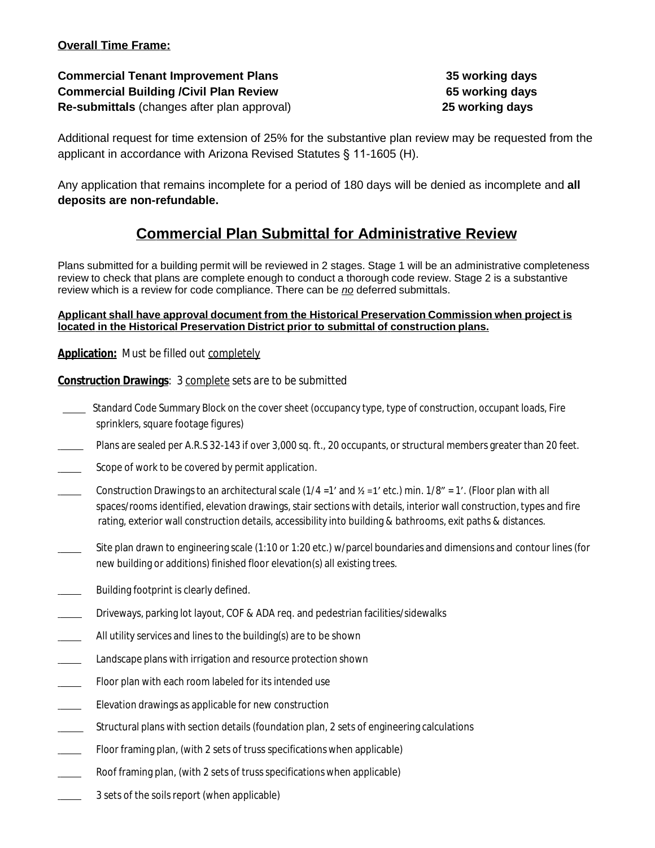### **Overall Time Frame:**

**Commercial Tenant Improvement Plans 35 working days Commercial Building /Civil Plan Review 65 working days Re-submittals** (changes after plan approval) **25 working days**

Additional request for time extension of 25% for the substantive plan review may be requested from the applicant in accordance with Arizona Revised Statutes § 11-1605 (H).

Any application that remains incomplete for a period of 180 days will be denied as incomplete and **all deposits are non-refundable.**

# **Commercial Plan Submittal for Administrative Review**

Plans submitted for a building permit will be reviewed in 2 stages. Stage 1 will be an administrative completeness review to check that plans are complete enough to conduct a thorough code review. Stage 2 is a substantive review which is a review for code compliance. There can be *no* deferred submittals.

#### **Applicant shall have approval document from the Historical Preservation Commission when project is located in the Historical Preservation District prior to submittal of construction plans.**

**Application:** *Must be filled out completely*

**Construction Drawings**: *3 complete sets are to be submitted*

- Standard Code Summary Block on the cover sheet (occupancy type, type of construction, occupant loads, Fire sprinklers, square footage figures)
- Plans are sealed per A.R.S 32-143 if over 3,000 sq. ft., 20 occupants, or structural members greater than 20 feet.
- Scope of work to be covered by permit application.
- Construction Drawings to an architectural scale (1/4 = 1' and  $\frac{y}{z}$  =1' etc.) min. 1/8" = 1'. (Floor plan with all spaces/rooms identified, elevation drawings, stair sections with details, interior wall construction, types and fire rating, exterior wall construction details, accessibility into building & bathrooms, exit paths & distances.
- Site plan drawn to engineering scale (1:10 or 1:20 etc.) w/parcel boundaries and dimensions and contour lines (for new building or additions) finished floor elevation(s) all existing trees.
- Building footprint is clearly defined.
- Driveways, parking lot layout, COF & ADA req. and pedestrian facilities/sidewalks
- All utility services and lines to the building(s) are to be shown
- **Landscape plans with irrigation and resource protection shown**
- Floor plan with each room labeled for its intended use
- **Elevation drawings as applicable for new construction**
- Structural plans with section details (foundation plan, 2 sets of engineering calculations
- Floor framing plan, (with 2 sets of truss specifications when applicable)
- Roof framing plan, (with 2 sets of truss specifications when applicable)
- 3 sets of the soils report (when applicable)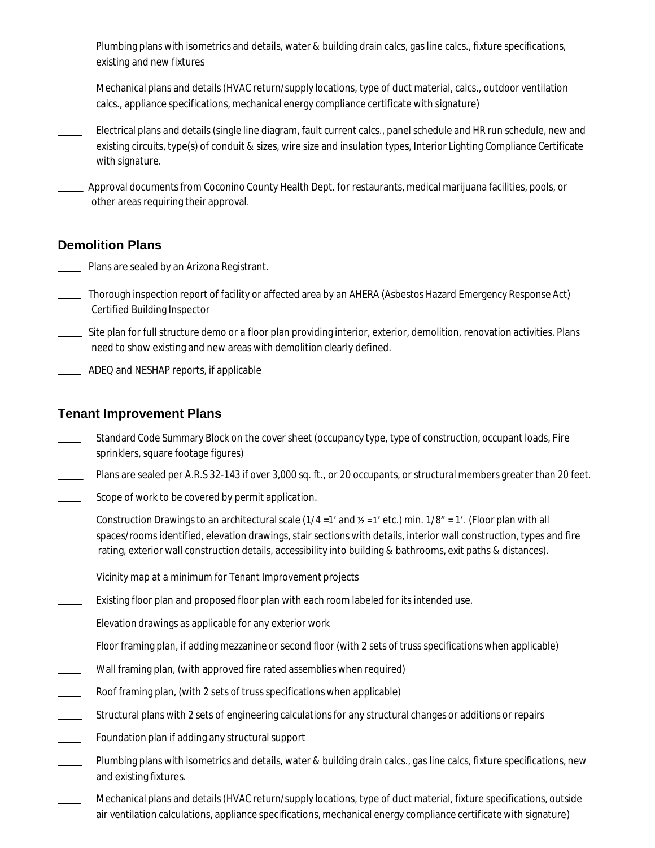- Plumbing plans with isometrics and details, water & building drain calcs, gas line calcs., fixture specifications, existing and new fixtures
- Mechanical plans and details(HVAC return/supply locations, type of duct material, calcs., outdoor ventilation calcs., appliance specifications, mechanical energy compliance certificate with signature)
- Electrical plans and details (single line diagram, fault current calcs., panel schedule and HR run schedule, new and existing circuits, type(s) of conduit & sizes, wire size and insulation types, Interior Lighting Compliance Certificate with signature.
- Approval documentsfrom Coconino County Health Dept. for restaurants, medical marijuana facilities, pools, or other areas requiring their approval.

### **Demolition Plans**

- Plans are sealed by an Arizona Registrant.
- Thorough inspection report of facility or affected area by an AHERA (Asbestos Hazard Emergency Response Act) Certified Building Inspector
- Site plan for full structure demo or a floor plan providing interior, exterior, demolition, renovation activities. Plans need to show existing and new areas with demolition clearly defined.
- ADEQ and NESHAP reports, if applicable

### **Tenant Improvement Plans**

- Standard Code Summary Block on the cover sheet (occupancy type, type of construction, occupant loads, Fire sprinklers, square footage figures)
- Plans are sealed per A.R.S 32-143 if over 3,000 sq. ft., or 20 occupants, or structural members greater than 20 feet.
- Scope of work to be covered by permit application.
- Construction Drawings to an architectural scale ( $1/4 = 1'$  and  $\frac{1}{2} = 1'$  etc.) min.  $1/8'' = 1'$ . (Floor plan with all spaces/rooms identified, elevation drawings, stair sections with details, interior wall construction, types and fire rating, exterior wall construction details, accessibility into building & bathrooms, exit paths & distances).
- Vicinity map at a minimum for Tenant Improvement projects
- Existing floor plan and proposed floor plan with each room labeled for its intended use.
- Elevation drawings as applicable for any exterior work
- Floor framing plan, if adding mezzanine or second floor (with 2 sets of truss specifications when applicable)
- Wall framing plan, (with approved fire rated assemblies when required)
- Roof framing plan, (with 2 sets of truss specifications when applicable)
- Structural plans with 2 sets of engineering calculations for any structural changes or additions or repairs
- Foundation plan if adding any structural support
- Plumbing plans with isometrics and details, water & building drain calcs., gas line calcs, fixture specifications, new and existing fixtures.
	- Mechanical plans and details(HVAC return/supply locations, type of duct material, fixture specifications, outside air ventilation calculations, appliance specifications, mechanical energy compliance certificate with signature)